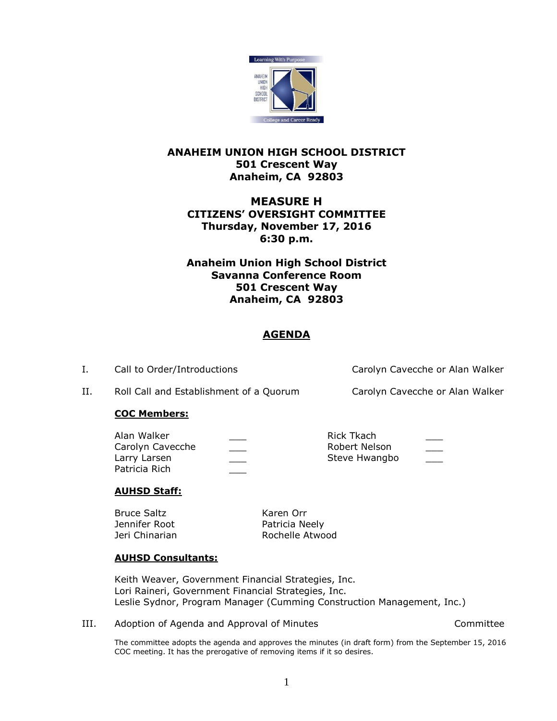

## **ANAHEIM UNION HIGH SCHOOL DISTRICT 501 Crescent Way Anaheim, CA 92803**

# **MEASURE H CITIZENS' OVERSIGHT COMMITTEE Thursday, November 17, 2016 6:30 p.m.**

**Anaheim Union High School District Savanna Conference Room 501 Crescent Way Anaheim, CA 92803**

# **AGENDA**

I. Call to Order/Introductions Carolyn Cavecche or Alan Walker

II. Roll Call and Establishment of a Quorum Carolyn Cavecche or Alan Walker

## **COC Members:**

| Alan Walker      | Rick Tkach    |      |
|------------------|---------------|------|
| Carolyn Cavecche | Robert Nelson | ____ |
| Larry Larsen     | Steve Hwangbo |      |
| Patricia Rich    |               |      |

## **AUHSD Staff:**

Bruce Saltz Karen Orr Jennifer Root **Patricia Neely** 

Jeri Chinarian **Rochelle Atwood** 

## **AUHSD Consultants:**

Keith Weaver, Government Financial Strategies, Inc. Lori Raineri, Government Financial Strategies, Inc. Leslie Sydnor, Program Manager (Cumming Construction Management, Inc.)

III. Adoption of Agenda and Approval of Minutes Committee

The committee adopts the agenda and approves the minutes (in draft form) from the September 15, 2016 COC meeting. It has the prerogative of removing items if it so desires.